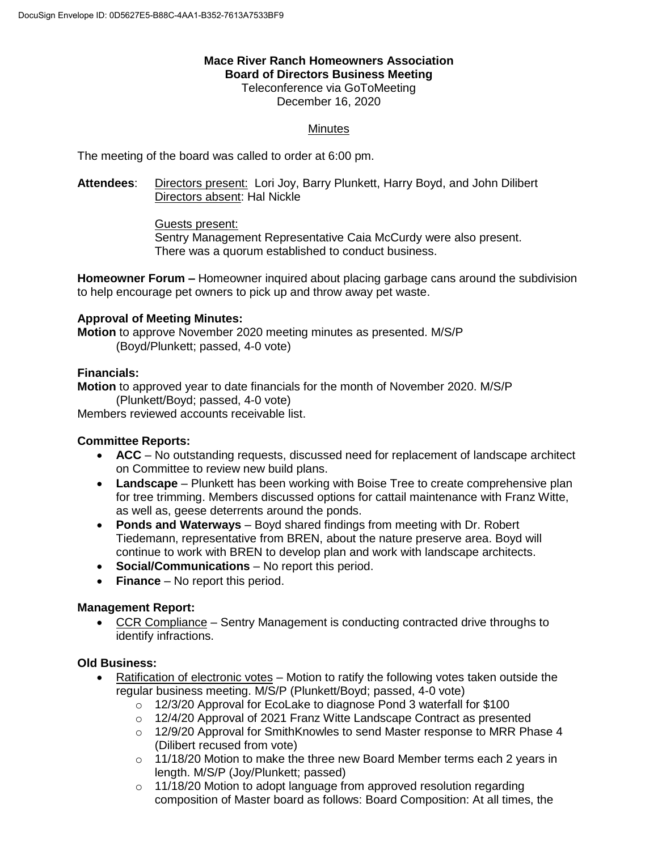#### **Mace River Ranch Homeowners Association Board of Directors Business Meeting**

Teleconference via GoToMeeting December 16, 2020

# **Minutes**

The meeting of the board was called to order at 6:00 pm.

**Attendees**: Directors present: Lori Joy, Barry Plunkett, Harry Boyd, and John Dilibert Directors absent: Hal Nickle

Guests present:

Sentry Management Representative Caia McCurdy were also present. There was a quorum established to conduct business.

**Homeowner Forum –** Homeowner inquired about placing garbage cans around the subdivision to help encourage pet owners to pick up and throw away pet waste.

#### **Approval of Meeting Minutes:**

**Motion** to approve November 2020 meeting minutes as presented. M/S/P (Boyd/Plunkett; passed, 4-0 vote)

# **Financials:**

**Motion** to approved year to date financials for the month of November 2020. M/S/P (Plunkett/Boyd; passed, 4-0 vote)

Members reviewed accounts receivable list.

# **Committee Reports:**

- **ACC** No outstanding requests, discussed need for replacement of landscape architect on Committee to review new build plans.
- **Landscape** Plunkett has been working with Boise Tree to create comprehensive plan for tree trimming. Members discussed options for cattail maintenance with Franz Witte, as well as, geese deterrents around the ponds.
- **Ponds and Waterways** Boyd shared findings from meeting with Dr. Robert Tiedemann, representative from BREN, about the nature preserve area. Boyd will continue to work with BREN to develop plan and work with landscape architects.
- **Social/Communications** No report this period.
- **Finance** No report this period.

# **Management Report:**

 CCR Compliance – Sentry Management is conducting contracted drive throughs to identify infractions.

# **Old Business:**

- Ratification of electronic votes Motion to ratify the following votes taken outside the regular business meeting. M/S/P (Plunkett/Boyd; passed, 4-0 vote)
	- o 12/3/20 Approval for EcoLake to diagnose Pond 3 waterfall for \$100
	- o 12/4/20 Approval of 2021 Franz Witte Landscape Contract as presented
	- o 12/9/20 Approval for SmithKnowles to send Master response to MRR Phase 4 (Dilibert recused from vote)
	- o 11/18/20 Motion to make the three new Board Member terms each 2 years in length. M/S/P (Joy/Plunkett; passed)
	- o 11/18/20 Motion to adopt language from approved resolution regarding composition of Master board as follows: Board Composition: At all times, the